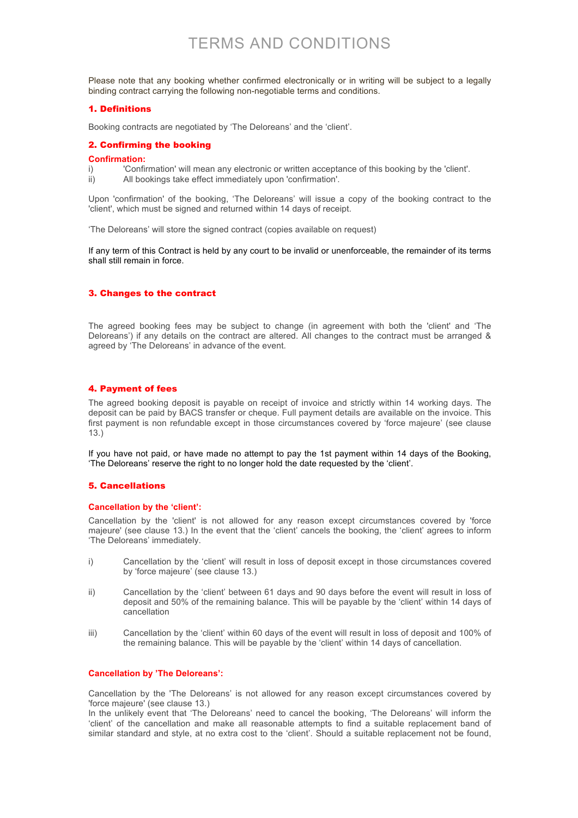# TERMS AND CONDITIONS

Please note that any booking whether confirmed electronically or in writing will be subject to a legally binding contract carrying the following non-negotiable terms and conditions.

#### 1. Definitions

Booking contracts are negotiated by 'The Deloreans' and the 'client'.

#### 2. Confirming the booking

#### **Confirmation:**

- i) 'Confirmation' will mean any electronic or written acceptance of this booking by the 'client'.
- ii) All bookings take effect immediately upon 'confirmation'.

Upon 'confirmation' of the booking, 'The Deloreans' will issue a copy of the booking contract to the 'client', which must be signed and returned within 14 days of receipt.

'The Deloreans' will store the signed contract (copies available on request)

If any term of this Contract is held by any court to be invalid or unenforceable, the remainder of its terms shall still remain in force.

#### 3. Changes to the contract

The agreed booking fees may be subject to change (in agreement with both the 'client' and 'The Deloreans') if any details on the contract are altered. All changes to the contract must be arranged & agreed by 'The Deloreans' in advance of the event.

## 4. Payment of fees

The agreed booking deposit is payable on receipt of invoice and strictly within 14 working days. The deposit can be paid by BACS transfer or cheque. Full payment details are available on the invoice. This first payment is non refundable except in those circumstances covered by 'force majeure' (see clause 13.)

If you have not paid, or have made no attempt to pay the 1st payment within 14 days of the Booking, 'The Deloreans' reserve the right to no longer hold the date requested by the 'client'.

#### 5. Cancellations

#### **Cancellation by the 'client':**

Cancellation by the 'client' is not allowed for any reason except circumstances covered by 'force majeure' (see clause 13.) In the event that the 'client' cancels the booking, the 'client' agrees to inform 'The Deloreans' immediately.

- i) Cancellation by the 'client' will result in loss of deposit except in those circumstances covered by 'force majeure' (see clause 13.)
- ii) Cancellation by the 'client' between 61 days and 90 days before the event will result in loss of deposit and 50% of the remaining balance. This will be payable by the 'client' within 14 days of cancellation
- iii) Cancellation by the 'client' within 60 days of the event will result in loss of deposit and 100% of the remaining balance. This will be payable by the 'client' within 14 days of cancellation.

### **Cancellation by 'The Deloreans':**

Cancellation by the 'The Deloreans' is not allowed for any reason except circumstances covered by 'force majeure' (see clause 13.)

In the unlikely event that 'The Deloreans' need to cancel the booking, 'The Deloreans' will inform the 'client' of the cancellation and make all reasonable attempts to find a suitable replacement band of similar standard and style, at no extra cost to the 'client'. Should a suitable replacement not be found,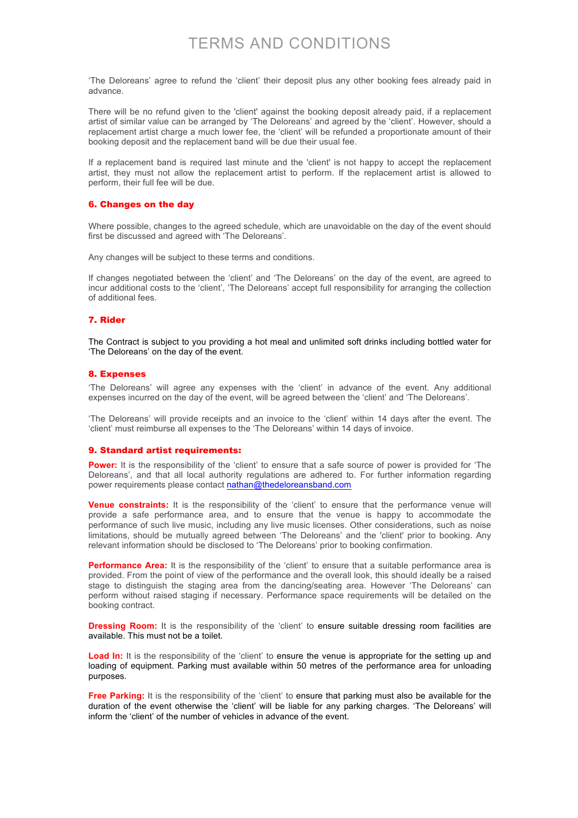# TERMS AND CONDITIONS

'The Deloreans' agree to refund the 'client' their deposit plus any other booking fees already paid in advance.

There will be no refund given to the 'client' against the booking deposit already paid, if a replacement artist of similar value can be arranged by 'The Deloreans' and agreed by the 'client'. However, should a replacement artist charge a much lower fee, the 'client' will be refunded a proportionate amount of their booking deposit and the replacement band will be due their usual fee.

If a replacement band is required last minute and the 'client' is not happy to accept the replacement artist, they must not allow the replacement artist to perform. If the replacement artist is allowed to perform, their full fee will be due.

### 6. Changes on the day

Where possible, changes to the agreed schedule, which are unavoidable on the day of the event should first be discussed and agreed with 'The Deloreans'.

Any changes will be subject to these terms and conditions.

If changes negotiated between the 'client' and 'The Deloreans' on the day of the event, are agreed to incur additional costs to the 'client', 'The Deloreans' accept full responsibility for arranging the collection of additional fees.

#### 7. Rider

The Contract is subject to you providing a hot meal and unlimited soft drinks including bottled water for 'The Deloreans' on the day of the event.

#### 8. Expenses

'The Deloreans' will agree any expenses with the 'client' in advance of the event. Any additional expenses incurred on the day of the event, will be agreed between the 'client' and 'The Deloreans'.

'The Deloreans' will provide receipts and an invoice to the 'client' within 14 days after the event. The 'client' must reimburse all expenses to the 'The Deloreans' within 14 days of invoice.

#### 9. Standard artist requirements:

Power: It is the responsibility of the 'client' to ensure that a safe source of power is provided for 'The Deloreans', and that all local authority regulations are adhered to. For further information regarding power requirements please contact nathan@thedeloreansband.com

**Venue constraints:** It is the responsibility of the 'client' to ensure that the performance venue will provide a safe performance area, and to ensure that the venue is happy to accommodate the performance of such live music, including any live music licenses. Other considerations, such as noise limitations, should be mutually agreed between 'The Deloreans' and the 'client' prior to booking. Any relevant information should be disclosed to 'The Deloreans' prior to booking confirmation.

**Performance Area:** It is the responsibility of the 'client' to ensure that a suitable performance area is provided. From the point of view of the performance and the overall look, this should ideally be a raised stage to distinguish the staging area from the dancing/seating area. However 'The Deloreans' can perform without raised staging if necessary. Performance space requirements will be detailed on the booking contract.

**Dressing Room:** It is the responsibility of the 'client' to ensure suitable dressing room facilities are available. This must not be a toilet.

Load In: It is the responsibility of the 'client' to ensure the venue is appropriate for the setting up and loading of equipment. Parking must available within 50 metres of the performance area for unloading purposes.

**Free Parking:** It is the responsibility of the 'client' to ensure that parking must also be available for the duration of the event otherwise the 'client' will be liable for any parking charges. 'The Deloreans' will inform the 'client' of the number of vehicles in advance of the event.